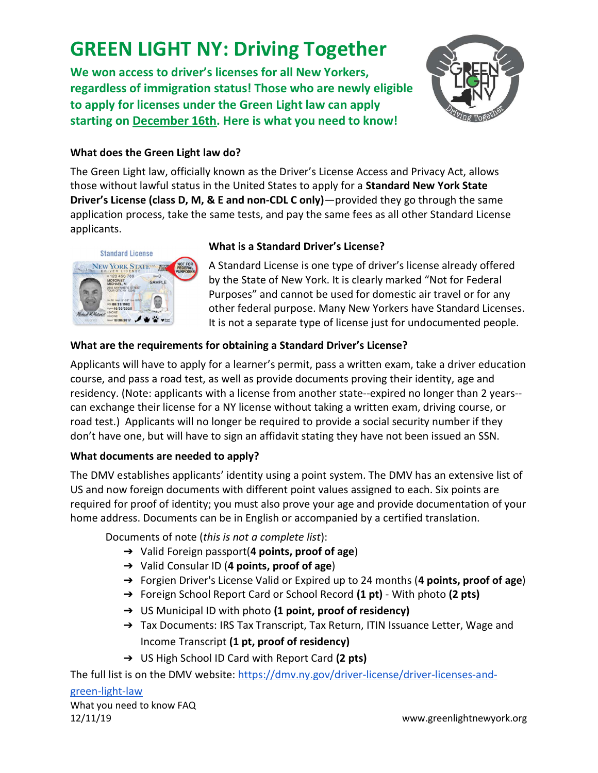# GREEN LIGHT NY: Driving Together

We won access to driver's licenses for all New Yorkers, regardless of immigration status! Those who are newly eligible to apply for licenses under the Green Light law can apply starting on December 16th. Here is what you need to know!



### What does the Green Light law do?

The Green Light law, officially known as the Driver's License Access and Privacy Act, allows those without lawful status in the United States to apply for a Standard New York State Driver's License (class D, M, & E and non-CDL C only)—provided they go through the same application process, take the same tests, and pay the same fees as all other Standard License applicants.



### What is a Standard Driver's License?

A Standard License is one type of driver's license already offered by the State of New York. It is clearly marked "Not for Federal Purposes" and cannot be used for domestic air travel or for any other federal purpose. Many New Yorkers have Standard Licenses. It is not a separate type of license just for undocumented people.

### What are the requirements for obtaining a Standard Driver's License?

Applicants will have to apply for a learner's permit, pass a written exam, take a driver education course, and pass a road test, as well as provide documents proving their identity, age and residency. (Note: applicants with a license from another state--expired no longer than 2 years- can exchange their license for a NY license without taking a written exam, driving course, or road test.) Applicants will no longer be required to provide a social security number if they don't have one, but will have to sign an affidavit stating they have not been issued an SSN.

#### What documents are needed to apply?

The DMV establishes applicants' identity using a point system. The DMV has an extensive list of US and now foreign documents with different point values assigned to each. Six points are required for proof of identity; you must also prove your age and provide documentation of your home address. Documents can be in English or accompanied by a certified translation.

Documents of note (this is not a complete list):

- $\rightarrow$  Valid Foreign passport(4 points, proof of age)
- ➔ Valid Consular ID (4 points, proof of age)
- → Forgien Driver's License Valid or Expired up to 24 months (4 points, proof of age)
- → Foreign School Report Card or School Record (1 pt) With photo (2 pts)
- → US Municipal ID with photo (1 point, proof of residency)
- → Tax Documents: IRS Tax Transcript, Tax Return, ITIN Issuance Letter, Wage and Income Transcript (1 pt, proof of residency)
- → US High School ID Card with Report Card (2 pts)

The full list is on the DMV website: https://dmv.ny.gov/driver-license/driver-licenses-and-

## green-light-law

What you need to know FAQ 12/11/19 www.greenlightnewyork.org